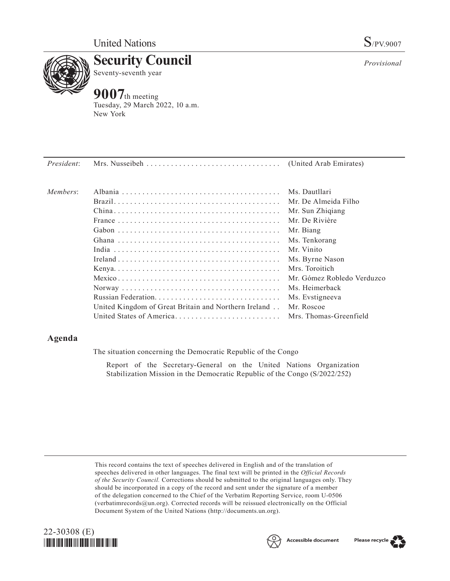

**Security Council** Seventy-seventh year

# **9007**th meeting

Tuesday, 29 March 2022, 10 a.m. New York

| President: |                                                      |                            |
|------------|------------------------------------------------------|----------------------------|
| Members:   |                                                      | Ms. Dautllari              |
|            |                                                      | Mr. De Almeida Filho       |
|            |                                                      | Mr. Sun Zhigiang           |
|            |                                                      | Mr. De Rivière             |
|            |                                                      | Mr. Biang                  |
|            |                                                      | Ms. Tenkorang              |
|            |                                                      | Mr. Vinito                 |
|            |                                                      | Ms. Byrne Nason            |
|            |                                                      | Mrs. Toroitich             |
|            |                                                      | Mr. Gómez Robledo Verduzco |
|            |                                                      | Ms. Heimerback             |
|            |                                                      | Ms. Evstigneeva            |
|            | United Kingdom of Great Britain and Northern Ireland | Mr. Roscoe                 |
|            | United States of America                             | Mrs. Thomas-Greenfield     |
|            |                                                      |                            |

## **Agenda**

The situation concerning the Democratic Republic of the Congo

Report of the Secretary-General on the United Nations Organization Stabilization Mission in the Democratic Republic of the Congo (S/2022/252)

This record contains the text of speeches delivered in English and of the translation of speeches delivered in other languages. The final text will be printed in the *Official Records of the Security Council.* Corrections should be submitted to the original languages only. They should be incorporated in a copy of the record and sent under the signature of a member of the delegation concerned to the Chief of the Verbatim Reporting Service, room U-0506 (verbatimrecords@un.org). Corrected records will be reissued electronically on the Official Document System of the United Nations (http://documents.un.org).





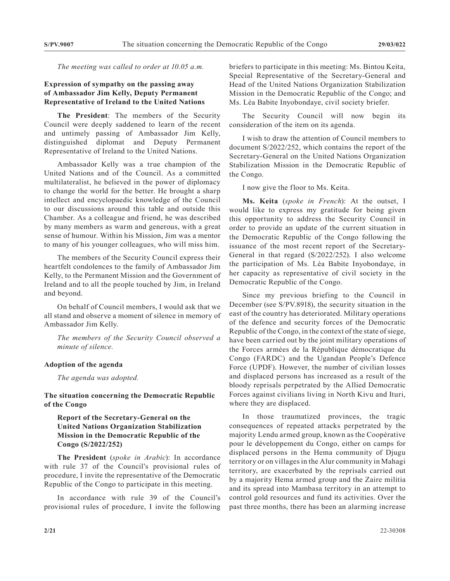*The meeting was called to order at 10.05 a.m.*

## **Expression of sympathy on the passing away of Ambassador Jim Kelly, Deputy Permanent Representative of Ireland to the United Nations**

**The President**: The members of the Security Council were deeply saddened to learn of the recent and untimely passing of Ambassador Jim Kelly, distinguished diplomat and Deputy Permanent Representative of Ireland to the United Nations.

Ambassador Kelly was a true champion of the United Nations and of the Council. As a committed multilateralist, he believed in the power of diplomacy to change the world for the better. He brought a sharp intellect and encyclopaedic knowledge of the Council to our discussions around this table and outside this Chamber. As a colleague and friend, he was described by many members as warm and generous, with a great sense of humour. Within his Mission, Jim was a mentor to many of his younger colleagues, who will miss him.

The members of the Security Council express their heartfelt condolences to the family of Ambassador Jim Kelly, to the Permanent Mission and the Government of Ireland and to all the people touched by Jim, in Ireland and beyond.

On behalf of Council members, I would ask that we all stand and observe a moment of silence in memory of Ambassador Jim Kelly.

*The members of the Security Council observed a minute of silence.*

#### **Adoption of the agenda**

*The agenda was adopted.*

## **The situation concerning the Democratic Republic of the Congo**

**Report of the Secretary-General on the United Nations Organization Stabilization Mission in the Democratic Republic of the Congo (S/2022/252)**

**The President** (*spoke in Arabic*): In accordance with rule 37 of the Council's provisional rules of procedure, I invite the representative of the Democratic Republic of the Congo to participate in this meeting.

In accordance with rule 39 of the Council's provisional rules of procedure, I invite the following briefers to participate in this meeting: Ms. Bintou Keita, Special Representative of the Secretary-General and Head of the United Nations Organization Stabilization Mission in the Democratic Republic of the Congo; and Ms. Léa Babite Inyobondaye, civil society briefer.

The Security Council will now begin its consideration of the item on its agenda.

I wish to draw the attention of Council members to document S/2022/252, which contains the report of the Secretary-General on the United Nations Organization Stabilization Mission in the Democratic Republic of the Congo.

I now give the floor to Ms. Keita.

**Ms. Keita** (*spoke in French*): At the outset, I would like to express my gratitude for being given this opportunity to address the Security Council in order to provide an update of the current situation in the Democratic Republic of the Congo following the issuance of the most recent report of the Secretary-General in that regard (S/2022/252). I also welcome the participation of Ms. Léa Babite Inyobondaye, in her capacity as representative of civil society in the Democratic Republic of the Congo.

Since my previous briefing to the Council in December (see S/PV.8918), the security situation in the east of the country has deteriorated. Military operations of the defence and security forces of the Democratic Republic of the Congo, in the context of the state of siege, have been carried out by the joint military operations of the Forces armées de la République démocratique du Congo (FARDC) and the Ugandan People's Defence Force (UPDF). However, the number of civilian losses and displaced persons has increased as a result of the bloody reprisals perpetrated by the Allied Democratic Forces against civilians living in North Kivu and Ituri, where they are displaced.

In those traumatized provinces, the tragic consequences of repeated attacks perpetrated by the majority Lendu armed group, known as the Coopérative pour le développement du Congo, either on camps for displaced persons in the Hema community of Djugu territory or on villages in the Alur community in Mahagi territory, are exacerbated by the reprisals carried out by a majority Hema armed group and the Zaire militia and its spread into Mambasa territory in an attempt to control gold resources and fund its activities. Over the past three months, there has been an alarming increase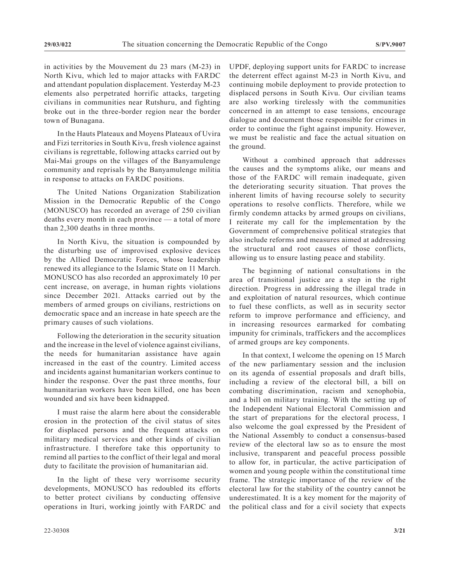in activities by the Mouvement du 23 mars (M-23) in North Kivu, which led to major attacks with FARDC and attendant population displacement. Yesterday M-23 elements also perpetrated horrific attacks, targeting civilians in communities near Rutshuru, and fighting broke out in the three-border region near the border town of Bunagana.

In the Hauts Plateaux and Moyens Plateaux of Uvira and Fizi territories in South Kivu, fresh violence against civilians is regrettable, following attacks carried out by Mai-Mai groups on the villages of the Banyamulenge community and reprisals by the Banyamulenge militia in response to attacks on FARDC positions.

The United Nations Organization Stabilization Mission in the Democratic Republic of the Congo (MONUSCO) has recorded an average of 250 civilian deaths every month in each province — a total of more than 2,300 deaths in three months.

In North Kivu, the situation is compounded by the disturbing use of improvised explosive devices by the Allied Democratic Forces, whose leadership renewed its allegiance to the Islamic State on 11 March. MONUSCO has also recorded an approximately 10 per cent increase, on average, in human rights violations since December 2021. Attacks carried out by the members of armed groups on civilians, restrictions on democratic space and an increase in hate speech are the primary causes of such violations.

Following the deterioration in the security situation and the increase in the level of violence against civilians, the needs for humanitarian assistance have again increased in the east of the country. Limited access and incidents against humanitarian workers continue to hinder the response. Over the past three months, four humanitarian workers have been killed, one has been wounded and six have been kidnapped.

I must raise the alarm here about the considerable erosion in the protection of the civil status of sites for displaced persons and the frequent attacks on military medical services and other kinds of civilian infrastructure. I therefore take this opportunity to remind all parties to the conflict of their legal and moral duty to facilitate the provision of humanitarian aid.

In the light of these very worrisome security developments, MONUSCO has redoubled its efforts to better protect civilians by conducting offensive operations in Ituri, working jointly with FARDC and UPDF, deploying support units for FARDC to increase the deterrent effect against M-23 in North Kivu, and continuing mobile deployment to provide protection to displaced persons in South Kivu. Our civilian teams are also working tirelessly with the communities concerned in an attempt to ease tensions, encourage dialogue and document those responsible for crimes in order to continue the fight against impunity. However, we must be realistic and face the actual situation on the ground.

Without a combined approach that addresses the causes and the symptoms alike, our means and those of the FARDC will remain inadequate, given the deteriorating security situation. That proves the inherent limits of having recourse solely to security operations to resolve conflicts. Therefore, while we firmly condemn attacks by armed groups on civilians, I reiterate my call for the implementation by the Government of comprehensive political strategies that also include reforms and measures aimed at addressing the structural and root causes of those conflicts, allowing us to ensure lasting peace and stability.

The beginning of national consultations in the area of transitional justice are a step in the right direction. Progress in addressing the illegal trade in and exploitation of natural resources, which continue to fuel these conflicts, as well as in security sector reform to improve performance and efficiency, and in increasing resources earmarked for combating impunity for criminals, traffickers and the accomplices of armed groups are key components.

In that context, I welcome the opening on 15 March of the new parliamentary session and the inclusion on its agenda of essential proposals and draft bills, including a review of the electoral bill, a bill on combating discrimination, racism and xenophobia, and a bill on military training. With the setting up of the Independent National Electoral Commission and the start of preparations for the electoral process, I also welcome the goal expressed by the President of the National Assembly to conduct a consensus-based review of the electoral law so as to ensure the most inclusive, transparent and peaceful process possible to allow for, in particular, the active participation of women and young people within the constitutional time frame. The strategic importance of the review of the electoral law for the stability of the country cannot be underestimated. It is a key moment for the majority of the political class and for a civil society that expects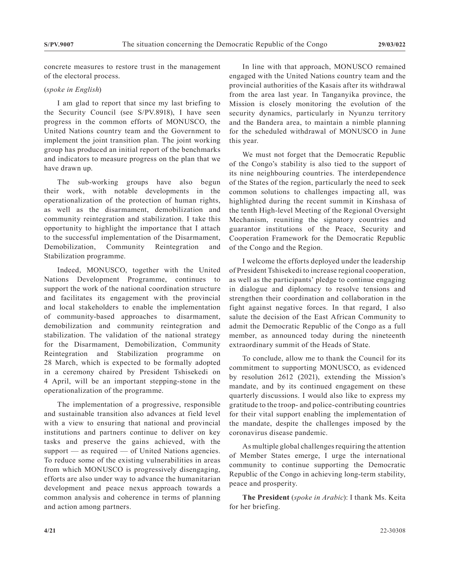concrete measures to restore trust in the management of the electoral process.

### (*spoke in English*)

I am glad to report that since my last briefing to the Security Council (see S/PV.8918), I have seen progress in the common efforts of MONUSCO, the United Nations country team and the Government to implement the joint transition plan. The joint working group has produced an initial report of the benchmarks and indicators to measure progress on the plan that we have drawn up.

The sub-working groups have also begun their work, with notable developments in the operationalization of the protection of human rights, as well as the disarmament, demobilization and community reintegration and stabilization. I take this opportunity to highlight the importance that I attach to the successful implementation of the Disarmament, Demobilization, Community Reintegration and Stabilization programme.

Indeed, MONUSCO, together with the United Nations Development Programme, continues to support the work of the national coordination structure and facilitates its engagement with the provincial and local stakeholders to enable the implementation of community-based approaches to disarmament, demobilization and community reintegration and stabilization. The validation of the national strategy for the Disarmament, Demobilization, Community Reintegration and Stabilization programme on 28 March, which is expected to be formally adopted in a ceremony chaired by President Tshisekedi on 4 April, will be an important stepping-stone in the operationalization of the programme.

The implementation of a progressive, responsible and sustainable transition also advances at field level with a view to ensuring that national and provincial institutions and partners continue to deliver on key tasks and preserve the gains achieved, with the support — as required — of United Nations agencies. To reduce some of the existing vulnerabilities in areas from which MONUSCO is progressively disengaging, efforts are also under way to advance the humanitarian development and peace nexus approach towards a common analysis and coherence in terms of planning and action among partners.

In line with that approach, MONUSCO remained engaged with the United Nations country team and the provincial authorities of the Kasais after its withdrawal from the area last year. In Tanganyika province, the Mission is closely monitoring the evolution of the security dynamics, particularly in Nyunzu territory and the Bandera area, to maintain a nimble planning for the scheduled withdrawal of MONUSCO in June this year.

We must not forget that the Democratic Republic of the Congo's stability is also tied to the support of its nine neighbouring countries. The interdependence of the States of the region, particularly the need to seek common solutions to challenges impacting all, was highlighted during the recent summit in Kinshasa of the tenth High-level Meeting of the Regional Oversight Mechanism, reuniting the signatory countries and guarantor institutions of the Peace, Security and Cooperation Framework for the Democratic Republic of the Congo and the Region.

I welcome the efforts deployed under the leadership of President Tshisekedi to increase regional cooperation, as well as the participants' pledge to continue engaging in dialogue and diplomacy to resolve tensions and strengthen their coordination and collaboration in the fight against negative forces. In that regard, I also salute the decision of the East African Community to admit the Democratic Republic of the Congo as a full member, as announced today during the nineteenth extraordinary summit of the Heads of State.

To conclude, allow me to thank the Council for its commitment to supporting MONUSCO, as evidenced by resolution 2612 (2021), extending the Mission's mandate, and by its continued engagement on these quarterly discussions. I would also like to express my gratitude to the troop- and police-contributing countries for their vital support enabling the implementation of the mandate, despite the challenges imposed by the coronavirus disease pandemic.

As multiple global challenges requiring the attention of Member States emerge, I urge the international community to continue supporting the Democratic Republic of the Congo in achieving long-term stability, peace and prosperity.

**The President** (*spoke in Arabic*): I thank Ms. Keita for her briefing.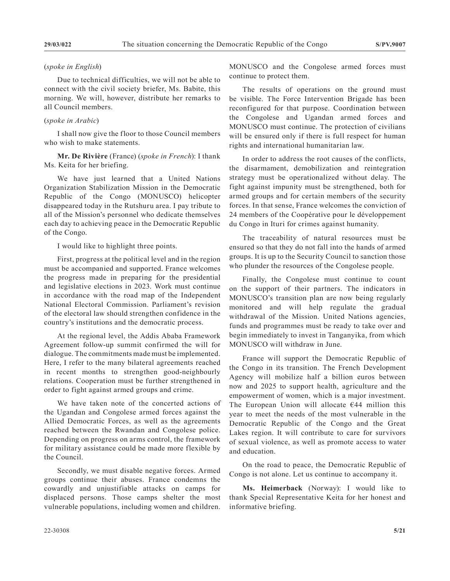#### (*spoke in English*)

Due to technical difficulties, we will not be able to connect with the civil society briefer, Ms. Babite, this morning. We will, however, distribute her remarks to all Council members.

## (*spoke in Arabic*)

I shall now give the floor to those Council members who wish to make statements.

## **Mr. De Rivière** (France) (*spoke in French*): I thank Ms. Keita for her briefing.

We have just learned that a United Nations Organization Stabilization Mission in the Democratic Republic of the Congo (MONUSCO) helicopter disappeared today in the Rutshuru area. I pay tribute to all of the Mission's personnel who dedicate themselves each day to achieving peace in the Democratic Republic of the Congo.

I would like to highlight three points.

First, progress at the political level and in the region must be accompanied and supported. France welcomes the progress made in preparing for the presidential and legislative elections in 2023. Work must continue in accordance with the road map of the Independent National Electoral Commission. Parliament's revision of the electoral law should strengthen confidence in the country's institutions and the democratic process.

At the regional level, the Addis Ababa Framework Agreement follow-up summit confirmed the will for dialogue. The commitments made must be implemented. Here, I refer to the many bilateral agreements reached in recent months to strengthen good-neighbourly relations. Cooperation must be further strengthened in order to fight against armed groups and crime.

We have taken note of the concerted actions of the Ugandan and Congolese armed forces against the Allied Democratic Forces, as well as the agreements reached between the Rwandan and Congolese police. Depending on progress on arms control, the framework for military assistance could be made more flexible by the Council.

Secondly, we must disable negative forces. Armed groups continue their abuses. France condemns the cowardly and unjustifiable attacks on camps for displaced persons. Those camps shelter the most vulnerable populations, including women and children.

MONUSCO and the Congolese armed forces must continue to protect them.

The results of operations on the ground must be visible. The Force Intervention Brigade has been reconfigured for that purpose. Coordination between the Congolese and Ugandan armed forces and MONUSCO must continue. The protection of civilians will be ensured only if there is full respect for human rights and international humanitarian law.

In order to address the root causes of the conflicts, the disarmament, demobilization and reintegration strategy must be operationalized without delay. The fight against impunity must be strengthened, both for armed groups and for certain members of the security forces. In that sense, France welcomes the conviction of 24 members of the Coopérative pour le développement du Congo in Ituri for crimes against humanity.

The traceability of natural resources must be ensured so that they do not fall into the hands of armed groups. It is up to the Security Council to sanction those who plunder the resources of the Congolese people.

Finally, the Congolese must continue to count on the support of their partners. The indicators in MONUSCO's transition plan are now being regularly monitored and will help regulate the gradual withdrawal of the Mission. United Nations agencies, funds and programmes must be ready to take over and begin immediately to invest in Tanganyika, from which MONUSCO will withdraw in June.

France will support the Democratic Republic of the Congo in its transition. The French Development Agency will mobilize half a billion euros between now and 2025 to support health, agriculture and the empowerment of women, which is a major investment. The European Union will allocate  $644$  million this year to meet the needs of the most vulnerable in the Democratic Republic of the Congo and the Great Lakes region. It will contribute to care for survivors of sexual violence, as well as promote access to water and education.

On the road to peace, the Democratic Republic of Congo is not alone. Let us continue to accompany it.

**Ms. Heimerback** (Norway): I would like to thank Special Representative Keita for her honest and informative briefing.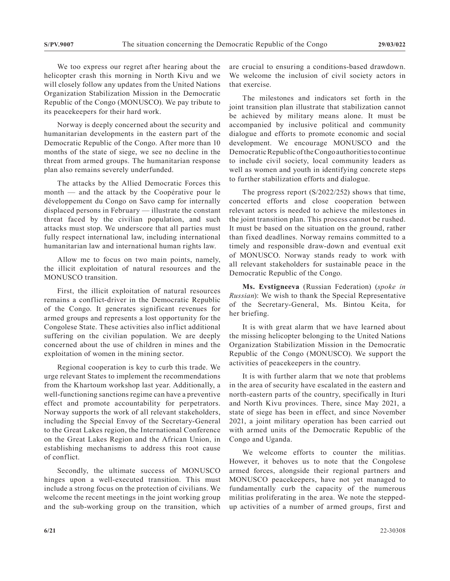We too express our regret after hearing about the helicopter crash this morning in North Kivu and we will closely follow any updates from the United Nations Organization Stabilization Mission in the Democratic Republic of the Congo (MONUSCO). We pay tribute to its peacekeepers for their hard work.

Norway is deeply concerned about the security and humanitarian developments in the eastern part of the Democratic Republic of the Congo. After more than 10 months of the state of siege, we see no decline in the threat from armed groups. The humanitarian response plan also remains severely underfunded.

The attacks by the Allied Democratic Forces this month — and the attack by the Coopérative pour le développement du Congo on Savo camp for internally displaced persons in February — illustrate the constant threat faced by the civilian population, and such attacks must stop. We underscore that all parties must fully respect international law, including international humanitarian law and international human rights law.

Allow me to focus on two main points, namely, the illicit exploitation of natural resources and the MONUSCO transition.

First, the illicit exploitation of natural resources remains a conflict-driver in the Democratic Republic of the Congo. It generates significant revenues for armed groups and represents a lost opportunity for the Congolese State. These activities also inflict additional suffering on the civilian population. We are deeply concerned about the use of children in mines and the exploitation of women in the mining sector.

Regional cooperation is key to curb this trade. We urge relevant States to implement the recommendations from the Khartoum workshop last year. Additionally, a well-functioning sanctions regime can have a preventive effect and promote accountability for perpetrators. Norway supports the work of all relevant stakeholders, including the Special Envoy of the Secretary-General to the Great Lakes region, the International Conference on the Great Lakes Region and the African Union, in establishing mechanisms to address this root cause of conflict.

Secondly, the ultimate success of MONUSCO hinges upon a well-executed transition. This must include a strong focus on the protection of civilians. We welcome the recent meetings in the joint working group and the sub-working group on the transition, which are crucial to ensuring a conditions-based drawdown. We welcome the inclusion of civil society actors in that exercise.

The milestones and indicators set forth in the joint transition plan illustrate that stabilization cannot be achieved by military means alone. It must be accompanied by inclusive political and community dialogue and efforts to promote economic and social development. We encourage MONUSCO and the Democratic Republic of the Congo authorities to continue to include civil society, local community leaders as well as women and youth in identifying concrete steps to further stabilization efforts and dialogue.

The progress report (S/2022/252) shows that time, concerted efforts and close cooperation between relevant actors is needed to achieve the milestones in the joint transition plan. This process cannot be rushed. It must be based on the situation on the ground, rather than fixed deadlines. Norway remains committed to a timely and responsible draw-down and eventual exit of MONUSCO. Norway stands ready to work with all relevant stakeholders for sustainable peace in the Democratic Republic of the Congo.

**Ms. Evstigneeva** (Russian Federation) (*spoke in Russian*): We wish to thank the Special Representative of the Secretary-General, Ms. Bintou Keita, for her briefing.

It is with great alarm that we have learned about the missing helicopter belonging to the United Nations Organization Stabilization Mission in the Democratic Republic of the Congo (MONUSCO). We support the activities of peacekeepers in the country.

It is with further alarm that we note that problems in the area of security have escalated in the eastern and north-eastern parts of the country, specifically in Ituri and North Kivu provinces. There, since May 2021, a state of siege has been in effect, and since November 2021, a joint military operation has been carried out with armed units of the Democratic Republic of the Congo and Uganda.

We welcome efforts to counter the militias. However, it behoves us to note that the Congolese armed forces, alongside their regional partners and MONUSCO peacekeepers, have not yet managed to fundamentally curb the capacity of the numerous militias proliferating in the area. We note the steppedup activities of a number of armed groups, first and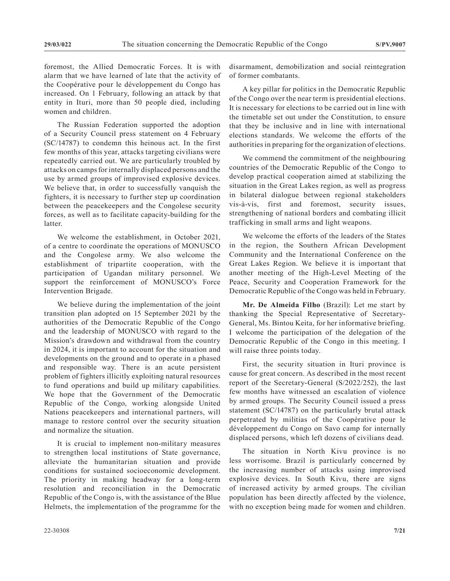foremost, the Allied Democratic Forces. It is with alarm that we have learned of late that the activity of the Coopérative pour le développement du Congo has increased. On 1 February, following an attack by that entity in Ituri, more than 50 people died, including women and children.

The Russian Federation supported the adoption of a Security Council press statement on 4 February (SC/14787) to condemn this heinous act. In the first few months of this year, attacks targeting civilians were repeatedly carried out. We are particularly troubled by attacks on camps for internally displaced persons and the use by armed groups of improvised explosive devices. We believe that, in order to successfully vanquish the fighters, it is necessary to further step up coordination between the peacekeepers and the Congolese security forces, as well as to facilitate capacity-building for the latter.

We welcome the establishment, in October 2021, of a centre to coordinate the operations of MONUSCO and the Congolese army. We also welcome the establishment of tripartite cooperation, with the participation of Ugandan military personnel. We support the reinforcement of MONUSCO's Force Intervention Brigade.

We believe during the implementation of the joint transition plan adopted on 15 September 2021 by the authorities of the Democratic Republic of the Congo and the leadership of MONUSCO with regard to the Mission's drawdown and withdrawal from the country in 2024, it is important to account for the situation and developments on the ground and to operate in a phased and responsible way. There is an acute persistent problem of fighters illicitly exploiting natural resources to fund operations and build up military capabilities. We hope that the Government of the Democratic Republic of the Congo, working alongside United Nations peacekeepers and international partners, will manage to restore control over the security situation and normalize the situation.

It is crucial to implement non-military measures to strengthen local institutions of State governance, alleviate the humanitarian situation and provide conditions for sustained socioeconomic development. The priority in making headway for a long-term resolution and reconciliation in the Democratic Republic of the Congo is, with the assistance of the Blue Helmets, the implementation of the programme for the disarmament, demobilization and social reintegration of former combatants.

A key pillar for politics in the Democratic Republic of the Congo over the near term is presidential elections. It is necessary for elections to be carried out in line with the timetable set out under the Constitution, to ensure that they be inclusive and in line with international elections standards. We welcome the efforts of the authorities in preparing for the organization of elections.

We commend the commitment of the neighbouring countries of the Democratic Republic of the Congo to develop practical cooperation aimed at stabilizing the situation in the Great Lakes region, as well as progress in bilateral dialogue between regional stakeholders vis-à-vis, first and foremost, security issues, strengthening of national borders and combating illicit trafficking in small arms and light weapons.

We welcome the efforts of the leaders of the States in the region, the Southern African Development Community and the International Conference on the Great Lakes Region. We believe it is important that another meeting of the High-Level Meeting of the Peace, Security and Cooperation Framework for the Democratic Republic of the Congo was held in February.

**Mr. De Almeida Filho** (Brazil): Let me start by thanking the Special Representative of Secretary-General, Ms. Bintou Keita, for her informative briefing. I welcome the participation of the delegation of the Democratic Republic of the Congo in this meeting. I will raise three points today.

First, the security situation in Ituri province is cause for great concern. As described in the most recent report of the Secretary-General (S/2022/252), the last few months have witnessed an escalation of violence by armed groups. The Security Council issued a press statement (SC/14787) on the particularly brutal attack perpetrated by militias of the Coopérative pour le développement du Congo on Savo camp for internally displaced persons, which left dozens of civilians dead.

The situation in North Kivu province is no less worrisome. Brazil is particularly concerned by the increasing number of attacks using improvised explosive devices. In South Kivu, there are signs of increased activity by armed groups. The civilian population has been directly affected by the violence, with no exception being made for women and children.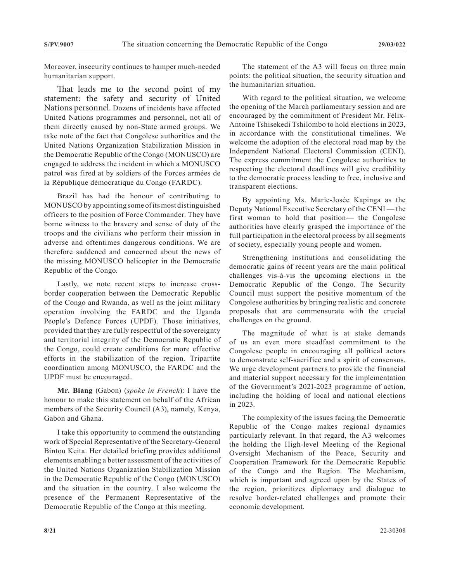Moreover, insecurity continues to hamper much-needed humanitarian support.

That leads me to the second point of my statement: the safety and security of United Nations personnel. Dozens of incidents have affected United Nations programmes and personnel, not all of them directly caused by non-State armed groups. We take note of the fact that Congolese authorities and the United Nations Organization Stabilization Mission in the Democratic Republic of the Congo (MONUSCO) are engaged to address the incident in which a MONUSCO patrol was fired at by soldiers of the Forces armées de la République démocratique du Congo (FARDC).

Brazil has had the honour of contributing to MONUSCO by appointing some of its most distinguished officers to the position of Force Commander. They have borne witness to the bravery and sense of duty of the troops and the civilians who perform their mission in adverse and oftentimes dangerous conditions. We are therefore saddened and concerned about the news of the missing MONUSCO helicopter in the Democratic Republic of the Congo.

Lastly, we note recent steps to increase crossborder cooperation between the Democratic Republic of the Congo and Rwanda, as well as the joint military operation involving the FARDC and the Uganda People's Defence Forces (UPDF). Those initiatives, provided that they are fully respectful of the sovereignty and territorial integrity of the Democratic Republic of the Congo, could create conditions for more effective efforts in the stabilization of the region. Tripartite coordination among MONUSCO, the FARDC and the UPDF must be encouraged.

**Mr. Biang** (Gabon) (*spoke in French*): I have the honour to make this statement on behalf of the African members of the Security Council (A3), namely, Kenya, Gabon and Ghana.

I take this opportunity to commend the outstanding work of Special Representative of the Secretary-General Bintou Keita. Her detailed briefing provides additional elements enabling a better assessment of the activities of the United Nations Organization Stabilization Mission in the Democratic Republic of the Congo (MONUSCO) and the situation in the country. I also welcome the presence of the Permanent Representative of the Democratic Republic of the Congo at this meeting.

The statement of the A3 will focus on three main points: the political situation, the security situation and the humanitarian situation.

With regard to the political situation, we welcome the opening of the March parliamentary session and are encouraged by the commitment of President Mr. Félix-Antoine Tshisekedi Tshilombo to hold elections in 2023, in accordance with the constitutional timelines. We welcome the adoption of the electoral road map by the Independent National Electoral Commission (CENI). The express commitment the Congolese authorities to respecting the electoral deadlines will give credibility to the democratic process leading to free, inclusive and transparent elections.

By appointing Ms. Marie-Josée Kapinga as the Deputy National Executive Secretary of the CENI — the first woman to hold that position— the Congolese authorities have clearly grasped the importance of the full participation in the electoral process by all segments of society, especially young people and women.

Strengthening institutions and consolidating the democratic gains of recent years are the main political challenges vis-à-vis the upcoming elections in the Democratic Republic of the Congo. The Security Council must support the positive momentum of the Congolese authorities by bringing realistic and concrete proposals that are commensurate with the crucial challenges on the ground.

The magnitude of what is at stake demands of us an even more steadfast commitment to the Congolese people in encouraging all political actors to demonstrate self-sacrifice and a spirit of consensus. We urge development partners to provide the financial and material support necessary for the implementation of the Government's 2021-2023 programme of action, including the holding of local and national elections in 2023.

The complexity of the issues facing the Democratic Republic of the Congo makes regional dynamics particularly relevant. In that regard, the A3 welcomes the holding the High-level Meeting of the Regional Oversight Mechanism of the Peace, Security and Cooperation Framework for the Democratic Republic of the Congo and the Region. The Mechanism, which is important and agreed upon by the States of the region, prioritizes diplomacy and dialogue to resolve border-related challenges and promote their economic development.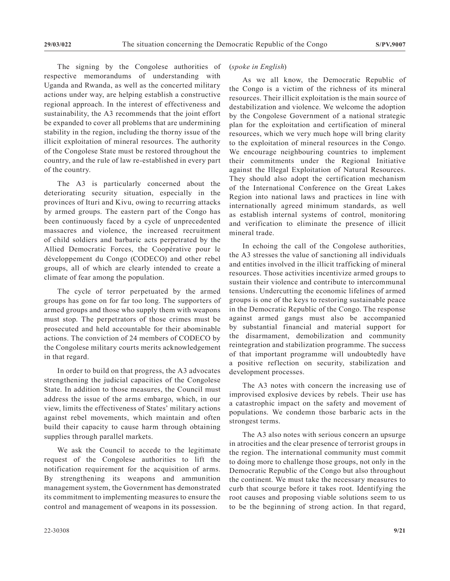The signing by the Congolese authorities of respective memorandums of understanding with Uganda and Rwanda, as well as the concerted military actions under way, are helping establish a constructive regional approach. In the interest of effectiveness and sustainability, the A3 recommends that the joint effort be expanded to cover all problems that are undermining stability in the region, including the thorny issue of the illicit exploitation of mineral resources. The authority of the Congolese State must be restored throughout the country, and the rule of law re-established in every part of the country.

The A3 is particularly concerned about the deteriorating security situation, especially in the provinces of Ituri and Kivu, owing to recurring attacks by armed groups. The eastern part of the Congo has been continuously faced by a cycle of unprecedented massacres and violence, the increased recruitment of child soldiers and barbaric acts perpetrated by the Allied Democratic Forces, the Coopérative pour le développement du Congo (CODECO) and other rebel groups, all of which are clearly intended to create a climate of fear among the population.

The cycle of terror perpetuated by the armed groups has gone on for far too long. The supporters of armed groups and those who supply them with weapons must stop. The perpetrators of those crimes must be prosecuted and held accountable for their abominable actions. The conviction of 24 members of CODECO by the Congolese military courts merits acknowledgement in that regard.

In order to build on that progress, the A3 advocates strengthening the judicial capacities of the Congolese State. In addition to those measures, the Council must address the issue of the arms embargo, which, in our view, limits the effectiveness of States' military actions against rebel movements, which maintain and often build their capacity to cause harm through obtaining supplies through parallel markets.

We ask the Council to accede to the legitimate request of the Congolese authorities to lift the notification requirement for the acquisition of arms. By strengthening its weapons and ammunition management system, the Government has demonstrated its commitment to implementing measures to ensure the control and management of weapons in its possession.

#### (*spoke in English*)

As we all know, the Democratic Republic of the Congo is a victim of the richness of its mineral resources. Their illicit exploitation is the main source of destabilization and violence. We welcome the adoption by the Congolese Government of a national strategic plan for the exploitation and certification of mineral resources, which we very much hope will bring clarity to the exploitation of mineral resources in the Congo. We encourage neighbouring countries to implement their commitments under the Regional Initiative against the Illegal Exploitation of Natural Resources. They should also adopt the certification mechanism of the International Conference on the Great Lakes Region into national laws and practices in line with internationally agreed minimum standards, as well as establish internal systems of control, monitoring and verification to eliminate the presence of illicit mineral trade.

In echoing the call of the Congolese authorities, the A3 stresses the value of sanctioning all individuals and entities involved in the illicit trafficking of mineral resources. Those activities incentivize armed groups to sustain their violence and contribute to intercommunal tensions. Undercutting the economic lifelines of armed groups is one of the keys to restoring sustainable peace in the Democratic Republic of the Congo. The response against armed gangs must also be accompanied by substantial financial and material support for the disarmament, demobilization and community reintegration and stabilization programme. The success of that important programme will undoubtedly have a positive reflection on security, stabilization and development processes.

The A3 notes with concern the increasing use of improvised explosive devices by rebels. Their use has a catastrophic impact on the safety and movement of populations. We condemn those barbaric acts in the strongest terms.

The A3 also notes with serious concern an upsurge in atrocities and the clear presence of terrorist groups in the region. The international community must commit to doing more to challenge those groups, not only in the Democratic Republic of the Congo but also throughout the continent. We must take the necessary measures to curb that scourge before it takes root. Identifying the root causes and proposing viable solutions seem to us to be the beginning of strong action. In that regard,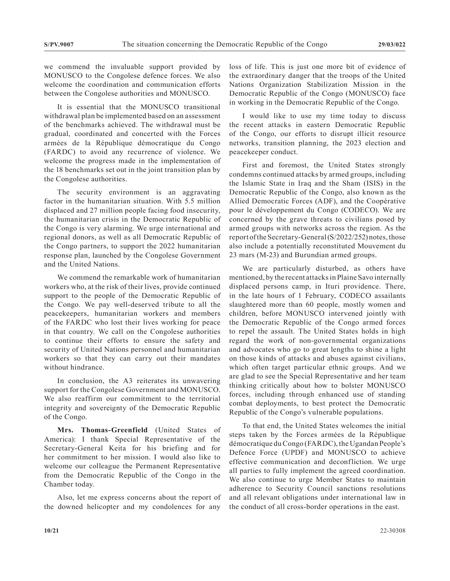we commend the invaluable support provided by MONUSCO to the Congolese defence forces. We also welcome the coordination and communication efforts between the Congolese authorities and MONUSCO.

It is essential that the MONUSCO transitional withdrawal plan be implemented based on an assessment of the benchmarks achieved. The withdrawal must be gradual, coordinated and concerted with the Forces armées de la République démocratique du Congo (FARDC) to avoid any recurrence of violence. We welcome the progress made in the implementation of the 18 benchmarks set out in the joint transition plan by the Congolese authorities.

The security environment is an aggravating factor in the humanitarian situation. With 5.5 million displaced and 27 million people facing food insecurity, the humanitarian crisis in the Democratic Republic of the Congo is very alarming. We urge international and regional donors, as well as all Democratic Republic of the Congo partners, to support the 2022 humanitarian response plan, launched by the Congolese Government and the United Nations.

We commend the remarkable work of humanitarian workers who, at the risk of their lives, provide continued support to the people of the Democratic Republic of the Congo. We pay well-deserved tribute to all the peacekeepers, humanitarian workers and members of the FARDC who lost their lives working for peace in that country. We call on the Congolese authorities to continue their efforts to ensure the safety and security of United Nations personnel and humanitarian workers so that they can carry out their mandates without hindrance.

In conclusion, the A3 reiterates its unwavering support for the Congolese Government and MONUSCO. We also reaffirm our commitment to the territorial integrity and sovereignty of the Democratic Republic of the Congo.

**Mrs. Thomas-Greenfield** (United States of America): I thank Special Representative of the Secretary-General Keita for his briefing and for her commitment to her mission. I would also like to welcome our colleague the Permanent Representative from the Democratic Republic of the Congo in the Chamber today.

Also, let me express concerns about the report of the downed helicopter and my condolences for any

loss of life. This is just one more bit of evidence of the extraordinary danger that the troops of the United Nations Organization Stabilization Mission in the Democratic Republic of the Congo (MONUSCO) face in working in the Democratic Republic of the Congo.

I would like to use my time today to discuss the recent attacks in eastern Democratic Republic of the Congo, our efforts to disrupt illicit resource networks, transition planning, the 2023 election and peacekeeper conduct.

First and foremost, the United States strongly condemns continued attacks by armed groups, including the Islamic State in Iraq and the Sham (ISIS) in the Democratic Republic of the Congo, also known as the Allied Democratic Forces (ADF), and the Coopérative pour le développement du Congo (CODECO). We are concerned by the grave threats to civilians posed by armed groups with networks across the region. As the report of the Secretary-General (S/2022/252) notes, those also include a potentially reconstituted Mouvement du 23 mars (M-23) and Burundian armed groups.

We are particularly disturbed, as others have mentioned, by the recent attacks in Plaine Savo internally displaced persons camp, in Ituri providence. There, in the late hours of 1 February, CODECO assailants slaughtered more than 60 people, mostly women and children, before MONUSCO intervened jointly with the Democratic Republic of the Congo armed forces to repel the assault. The United States holds in high regard the work of non-governmental organizations and advocates who go to great lengths to shine a light on those kinds of attacks and abuses against civilians, which often target particular ethnic groups. And we are glad to see the Special Representative and her team thinking critically about how to bolster MONUSCO forces, including through enhanced use of standing combat deployments, to best protect the Democratic Republic of the Congo's vulnerable populations.

To that end, the United States welcomes the initial steps taken by the Forces armées de la République démocratique du Congo (FARDC), the Ugandan People's Defence Force (UPDF) and MONUSCO to achieve effective communication and deconfliction. We urge all parties to fully implement the agreed coordination. We also continue to urge Member States to maintain adherence to Security Council sanctions resolutions and all relevant obligations under international law in the conduct of all cross-border operations in the east.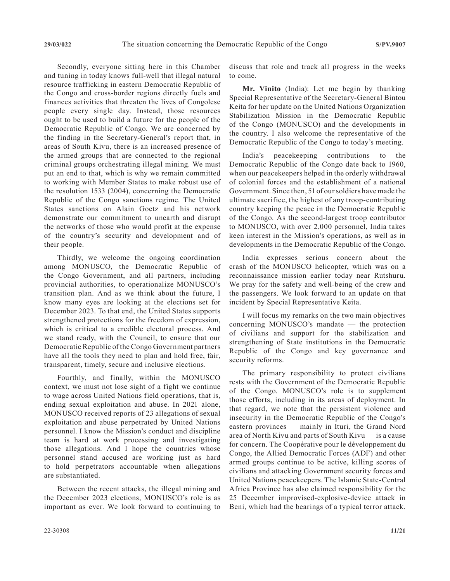Secondly, everyone sitting here in this Chamber and tuning in today knows full-well that illegal natural resource trafficking in eastern Democratic Republic of the Congo and cross-border regions directly fuels and finances activities that threaten the lives of Congolese people every single day. Instead, those resources ought to be used to build a future for the people of the Democratic Republic of Congo. We are concerned by the finding in the Secretary-General's report that, in areas of South Kivu, there is an increased presence of the armed groups that are connected to the regional criminal groups orchestrating illegal mining. We must put an end to that, which is why we remain committed to working with Member States to make robust use of the resolution 1533 (2004), concerning the Democratic Republic of the Congo sanctions regime. The United States sanctions on Alain Goetz and his network demonstrate our commitment to unearth and disrupt the networks of those who would profit at the expense of the country's security and development and of their people.

Thirdly, we welcome the ongoing coordination among MONUSCO, the Democratic Republic of the Congo Government, and all partners, including provincial authorities, to operationalize MONUSCO's transition plan. And as we think about the future, I know many eyes are looking at the elections set for December 2023. To that end, the United States supports strengthened protections for the freedom of expression, which is critical to a credible electoral process. And we stand ready, with the Council, to ensure that our Democratic Republic of the Congo Government partners have all the tools they need to plan and hold free, fair, transparent, timely, secure and inclusive elections.

Fourthly, and finally, within the MONUSCO context, we must not lose sight of a fight we continue to wage across United Nations field operations, that is, ending sexual exploitation and abuse. In 2021 alone, MONUSCO received reports of 23 allegations of sexual exploitation and abuse perpetrated by United Nations personnel. I know the Mission's conduct and discipline team is hard at work processing and investigating those allegations. And I hope the countries whose personnel stand accused are working just as hard to hold perpetrators accountable when allegations are substantiated.

Between the recent attacks, the illegal mining and the December 2023 elections, MONUSCO's role is as important as ever. We look forward to continuing to discuss that role and track all progress in the weeks to come.

**Mr. Vinito** (India): Let me begin by thanking Special Representative of the Secretary-General Bintou Keita for her update on the United Nations Organization Stabilization Mission in the Democratic Republic of the Congo (MONUSCO) and the developments in the country. I also welcome the representative of the Democratic Republic of the Congo to today's meeting.

India's peacekeeping contributions to the Democratic Republic of the Congo date back to 1960, when our peacekeepers helped in the orderly withdrawal of colonial forces and the establishment of a national Government. Since then, 51 of our soldiers have made the ultimate sacrifice, the highest of any troop-contributing country keeping the peace in the Democratic Republic of the Congo. As the second-largest troop contributor to MONUSCO, with over 2,000 personnel, India takes keen interest in the Mission's operations, as well as in developments in the Democratic Republic of the Congo.

India expresses serious concern about the crash of the MONUSCO helicopter, which was on a reconnaissance mission earlier today near Rutshuru. We pray for the safety and well-being of the crew and the passengers. We look forward to an update on that incident by Special Representative Keita.

I will focus my remarks on the two main objectives concerning MONUSCO's mandate — the protection of civilians and support for the stabilization and strengthening of State institutions in the Democratic Republic of the Congo and key governance and security reforms.

The primary responsibility to protect civilians rests with the Government of the Democratic Republic of the Congo. MONUSCO's role is to supplement those efforts, including in its areas of deployment. In that regard, we note that the persistent violence and insecurity in the Democratic Republic of the Congo's eastern provinces — mainly in Ituri, the Grand Nord area of North Kivu and parts of South Kivu — is a cause for concern. The Coopérative pour le développement du Congo, the Allied Democratic Forces (ADF) and other armed groups continue to be active, killing scores of civilians and attacking Government security forces and United Nations peacekeepers. The Islamic State-Central Africa Province has also claimed responsibility for the 25 December improvised-explosive-device attack in Beni, which had the bearings of a typical terror attack.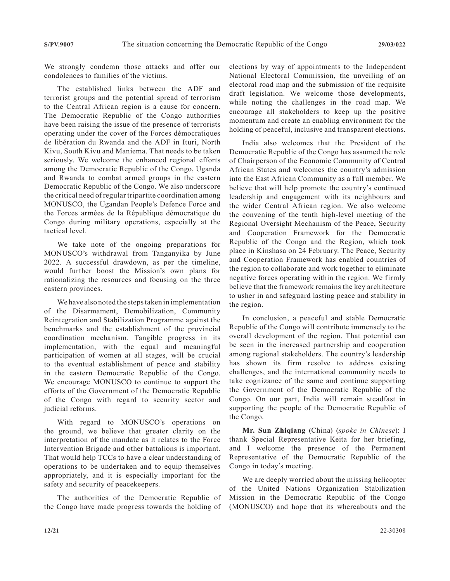We strongly condemn those attacks and offer our condolences to families of the victims.

The established links between the ADF and terrorist groups and the potential spread of terrorism to the Central African region is a cause for concern. The Democratic Republic of the Congo authorities have been raising the issue of the presence of terrorists operating under the cover of the Forces démocratiques de libération du Rwanda and the ADF in Ituri, North Kivu, South Kivu and Maniema. That needs to be taken seriously. We welcome the enhanced regional efforts among the Democratic Republic of the Congo, Uganda and Rwanda to combat armed groups in the eastern Democratic Republic of the Congo. We also underscore the critical need of regular tripartite coordination among MONUSCO, the Ugandan People's Defence Force and the Forces armées de la République démocratique du Congo during military operations, especially at the tactical level.

We take note of the ongoing preparations for MONUSCO's withdrawal from Tanganyika by June 2022. A successful drawdown, as per the timeline, would further boost the Mission's own plans for rationalizing the resources and focusing on the three eastern provinces.

We have also noted the steps taken in implementation of the Disarmament, Demobilization, Community Reintegration and Stabilization Programme against the benchmarks and the establishment of the provincial coordination mechanism. Tangible progress in its implementation, with the equal and meaningful participation of women at all stages, will be crucial to the eventual establishment of peace and stability in the eastern Democratic Republic of the Congo. We encourage MONUSCO to continue to support the efforts of the Government of the Democratic Republic of the Congo with regard to security sector and judicial reforms.

With regard to MONUSCO's operations on the ground, we believe that greater clarity on the interpretation of the mandate as it relates to the Force Intervention Brigade and other battalions is important. That would help TCCs to have a clear understanding of operations to be undertaken and to equip themselves appropriately, and it is especially important for the safety and security of peacekeepers.

The authorities of the Democratic Republic of the Congo have made progress towards the holding of elections by way of appointments to the Independent National Electoral Commission, the unveiling of an electoral road map and the submission of the requisite draft legislation. We welcome those developments, while noting the challenges in the road map. We encourage all stakeholders to keep up the positive momentum and create an enabling environment for the holding of peaceful, inclusive and transparent elections.

India also welcomes that the President of the Democratic Republic of the Congo has assumed the role of Chairperson of the Economic Community of Central African States and welcomes the country's admission into the East African Community as a full member. We believe that will help promote the country's continued leadership and engagement with its neighbours and the wider Central African region. We also welcome the convening of the tenth high-level meeting of the Regional Oversight Mechanism of the Peace, Security and Cooperation Framework for the Democratic Republic of the Congo and the Region, which took place in Kinshasa on 24 February. The Peace, Security and Cooperation Framework has enabled countries of the region to collaborate and work together to eliminate negative forces operating within the region. We firmly believe that the framework remains the key architecture to usher in and safeguard lasting peace and stability in the region.

In conclusion, a peaceful and stable Democratic Republic of the Congo will contribute immensely to the overall development of the region. That potential can be seen in the increased partnership and cooperation among regional stakeholders. The country's leadership has shown its firm resolve to address existing challenges, and the international community needs to take cognizance of the same and continue supporting the Government of the Democratic Republic of the Congo. On our part, India will remain steadfast in supporting the people of the Democratic Republic of the Congo.

**Mr. Sun Zhiqiang** (China) (*spoke in Chinese*): I thank Special Representative Keita for her briefing, and I welcome the presence of the Permanent Representative of the Democratic Republic of the Congo in today's meeting.

We are deeply worried about the missing helicopter of the United Nations Organization Stabilization Mission in the Democratic Republic of the Congo (MONUSCO) and hope that its whereabouts and the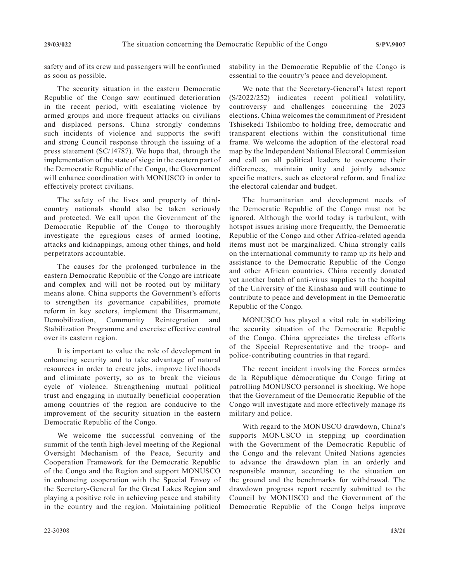safety and of its crew and passengers will be confirmed as soon as possible.

The security situation in the eastern Democratic Republic of the Congo saw continued deterioration in the recent period, with escalating violence by armed groups and more frequent attacks on civilians and displaced persons. China strongly condemns such incidents of violence and supports the swift and strong Council response through the issuing of a press statement (SC/14787). We hope that, through the implementation of the state of siege in the eastern part of the Democratic Republic of the Congo, the Government will enhance coordination with MONUSCO in order to effectively protect civilians.

The safety of the lives and property of thirdcountry nationals should also be taken seriously and protected. We call upon the Government of the Democratic Republic of the Congo to thoroughly investigate the egregious cases of armed looting, attacks and kidnappings, among other things, and hold perpetrators accountable.

The causes for the prolonged turbulence in the eastern Democratic Republic of the Congo are intricate and complex and will not be rooted out by military means alone. China supports the Government's efforts to strengthen its governance capabilities, promote reform in key sectors, implement the Disarmament, Demobilization, Community Reintegration and Stabilization Programme and exercise effective control over its eastern region.

It is important to value the role of development in enhancing security and to take advantage of natural resources in order to create jobs, improve livelihoods and eliminate poverty, so as to break the vicious cycle of violence. Strengthening mutual political trust and engaging in mutually beneficial cooperation among countries of the region are conducive to the improvement of the security situation in the eastern Democratic Republic of the Congo.

We welcome the successful convening of the summit of the tenth high-level meeting of the Regional Oversight Mechanism of the Peace, Security and Cooperation Framework for the Democratic Republic of the Congo and the Region and support MONUSCO in enhancing cooperation with the Special Envoy of the Secretary-General for the Great Lakes Region and playing a positive role in achieving peace and stability in the country and the region. Maintaining political

stability in the Democratic Republic of the Congo is essential to the country's peace and development.

We note that the Secretary-General's latest report (S/2022/252) indicates recent political volatility, controversy and challenges concerning the 2023 elections. China welcomes the commitment of President Tshisekedi Tshilombo to holding free, democratic and transparent elections within the constitutional time frame. We welcome the adoption of the electoral road map by the Independent National Electoral Commission and call on all political leaders to overcome their differences, maintain unity and jointly advance specific matters, such as electoral reform, and finalize the electoral calendar and budget.

The humanitarian and development needs of the Democratic Republic of the Congo must not be ignored. Although the world today is turbulent, with hotspot issues arising more frequently, the Democratic Republic of the Congo and other Africa-related agenda items must not be marginalized. China strongly calls on the international community to ramp up its help and assistance to the Democratic Republic of the Congo and other African countries. China recently donated yet another batch of anti-virus supplies to the hospital of the University of the Kinshasa and will continue to contribute to peace and development in the Democratic Republic of the Congo.

MONUSCO has played a vital role in stabilizing the security situation of the Democratic Republic of the Congo. China appreciates the tireless efforts of the Special Representative and the troop- and police-contributing countries in that regard.

The recent incident involving the Forces armées de la République démocratique du Congo firing at patrolling MONUSCO personnel is shocking. We hope that the Government of the Democratic Republic of the Congo will investigate and more effectively manage its military and police.

With regard to the MONUSCO drawdown, China's supports MONUSCO in stepping up coordination with the Government of the Democratic Republic of the Congo and the relevant United Nations agencies to advance the drawdown plan in an orderly and responsible manner, according to the situation on the ground and the benchmarks for withdrawal. The drawdown progress report recently submitted to the Council by MONUSCO and the Government of the Democratic Republic of the Congo helps improve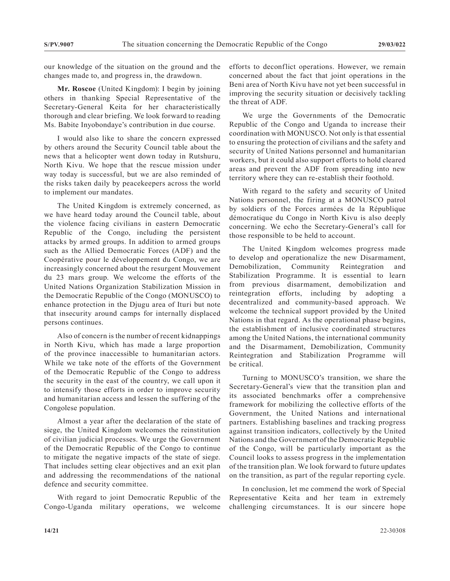our knowledge of the situation on the ground and the changes made to, and progress in, the drawdown.

**Mr. Roscoe** (United Kingdom): I begin by joining others in thanking Special Representative of the Secretary-General Keita for her characteristically thorough and clear briefing. We look forward to reading Ms. Babite Inyobondaye's contribution in due course.

I would also like to share the concern expressed by others around the Security Council table about the news that a helicopter went down today in Rutshuru, North Kivu. We hope that the rescue mission under way today is successful, but we are also reminded of the risks taken daily by peacekeepers across the world to implement our mandates.

The United Kingdom is extremely concerned, as we have heard today around the Council table, about the violence facing civilians in eastern Democratic Republic of the Congo, including the persistent attacks by armed groups. In addition to armed groups such as the Allied Democratic Forces (ADF) and the Coopérative pour le développement du Congo, we are increasingly concerned about the resurgent Mouvement du 23 mars group. We welcome the efforts of the United Nations Organization Stabilization Mission in the Democratic Republic of the Congo (MONUSCO) to enhance protection in the Djugu area of Ituri but note that insecurity around camps for internally displaced persons continues.

Also of concern is the number of recent kidnappings in North Kivu, which has made a large proportion of the province inaccessible to humanitarian actors. While we take note of the efforts of the Government of the Democratic Republic of the Congo to address the security in the east of the country, we call upon it to intensify those efforts in order to improve security and humanitarian access and lessen the suffering of the Congolese population.

Almost a year after the declaration of the state of siege, the United Kingdom welcomes the reinstitution of civilian judicial processes. We urge the Government of the Democratic Republic of the Congo to continue to mitigate the negative impacts of the state of siege. That includes setting clear objectives and an exit plan and addressing the recommendations of the national defence and security committee.

With regard to joint Democratic Republic of the Congo-Uganda military operations, we welcome efforts to deconflict operations. However, we remain concerned about the fact that joint operations in the Beni area of North Kivu have not yet been successful in improving the security situation or decisively tackling the threat of ADF.

We urge the Governments of the Democratic Republic of the Congo and Uganda to increase their coordination with MONUSCO. Not only is that essential to ensuring the protection of civilians and the safety and security of United Nations personnel and humanitarian workers, but it could also support efforts to hold cleared areas and prevent the ADF from spreading into new territory where they can re-establish their foothold.

With regard to the safety and security of United Nations personnel, the firing at a MONUSCO patrol by soldiers of the Forces armées de la République démocratique du Congo in North Kivu is also deeply concerning. We echo the Secretary-General's call for those responsible to be held to account.

The United Kingdom welcomes progress made to develop and operationalize the new Disarmament, Demobilization, Community Reintegration and Stabilization Programme. It is essential to learn from previous disarmament, demobilization and reintegration efforts, including by adopting a decentralized and community-based approach. We welcome the technical support provided by the United Nations in that regard. As the operational phase begins, the establishment of inclusive coordinated structures among the United Nations, the international community and the Disarmament, Demobilization, Community Reintegration and Stabilization Programme will be critical.

Turning to MONUSCO's transition, we share the Secretary-General's view that the transition plan and its associated benchmarks offer a comprehensive framework for mobilizing the collective efforts of the Government, the United Nations and international partners. Establishing baselines and tracking progress against transition indicators, collectively by the United Nations and the Government of the Democratic Republic of the Congo, will be particularly important as the Council looks to assess progress in the implementation of the transition plan. We look forward to future updates on the transition, as part of the regular reporting cycle.

In conclusion, let me commend the work of Special Representative Keita and her team in extremely challenging circumstances. It is our sincere hope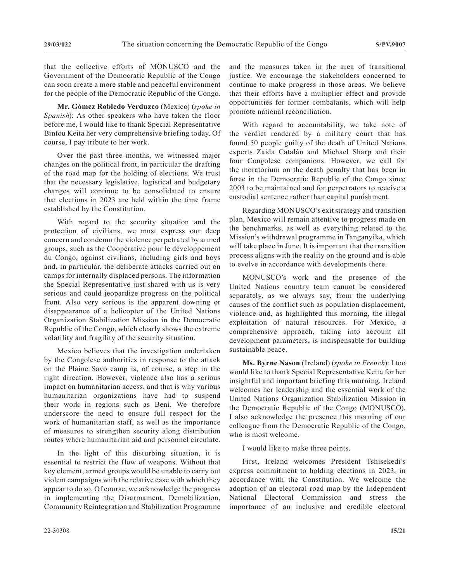that the collective efforts of MONUSCO and the Government of the Democratic Republic of the Congo can soon create a more stable and peaceful environment for the people of the Democratic Republic of the Congo.

**Mr. Gómez Robledo Verduzco** (Mexico) (*spoke in Spanish*): As other speakers who have taken the floor before me, I would like to thank Special Representative Bintou Keita her very comprehensive briefing today. Of course, I pay tribute to her work.

Over the past three months, we witnessed major changes on the political front, in particular the drafting of the road map for the holding of elections. We trust that the necessary legislative, logistical and budgetary changes will continue to be consolidated to ensure that elections in 2023 are held within the time frame established by the Constitution.

With regard to the security situation and the protection of civilians, we must express our deep concern and condemn the violence perpetrated by armed groups, such as the Coopérative pour le développement du Congo, against civilians, including girls and boys and, in particular, the deliberate attacks carried out on camps for internally displaced persons. The information the Special Representative just shared with us is very serious and could jeopardize progress on the political front. Also very serious is the apparent downing or disappearance of a helicopter of the United Nations Organization Stabilization Mission in the Democratic Republic of the Congo, which clearly shows the extreme volatility and fragility of the security situation.

Mexico believes that the investigation undertaken by the Congolese authorities in response to the attack on the Plaine Savo camp is, of course, a step in the right direction. However, violence also has a serious impact on humanitarian access, and that is why various humanitarian organizations have had to suspend their work in regions such as Beni. We therefore underscore the need to ensure full respect for the work of humanitarian staff, as well as the importance of measures to strengthen security along distribution routes where humanitarian aid and personnel circulate.

In the light of this disturbing situation, it is essential to restrict the flow of weapons. Without that key element, armed groups would be unable to carry out violent campaigns with the relative ease with which they appear to do so. Of course, we acknowledge the progress in implementing the Disarmament, Demobilization, Community Reintegration and Stabilization Programme

and the measures taken in the area of transitional justice. We encourage the stakeholders concerned to continue to make progress in those areas. We believe that their efforts have a multiplier effect and provide opportunities for former combatants, which will help promote national reconciliation.

With regard to accountability, we take note of the verdict rendered by a military court that has found 50 people guilty of the death of United Nations experts Zaida Catalán and Michael Sharp and their four Congolese companions. However, we call for the moratorium on the death penalty that has been in force in the Democratic Republic of the Congo since 2003 to be maintained and for perpetrators to receive a custodial sentence rather than capital punishment.

Regarding MONUSCO's exit strategy and transition plan, Mexico will remain attentive to progress made on the benchmarks, as well as everything related to the Mission's withdrawal programme in Tanganyika, which will take place in June. It is important that the transition process aligns with the reality on the ground and is able to evolve in accordance with developments there.

MONUSCO's work and the presence of the United Nations country team cannot be considered separately, as we always say, from the underlying causes of the conflict such as population displacement, violence and, as highlighted this morning, the illegal exploitation of natural resources. For Mexico, a comprehensive approach, taking into account all development parameters, is indispensable for building sustainable peace.

**Ms. Byrne Nason** (Ireland) (*spoke in French*): I too would like to thank Special Representative Keita for her insightful and important briefing this morning. Ireland welcomes her leadership and the essential work of the United Nations Organization Stabilization Mission in the Democratic Republic of the Congo (MONUSCO). I also acknowledge the presence this morning of our colleague from the Democratic Republic of the Congo, who is most welcome.

I would like to make three points.

First, Ireland welcomes President Tshisekedi's express commitment to holding elections in 2023, in accordance with the Constitution. We welcome the adoption of an electoral road map by the Independent National Electoral Commission and stress the importance of an inclusive and credible electoral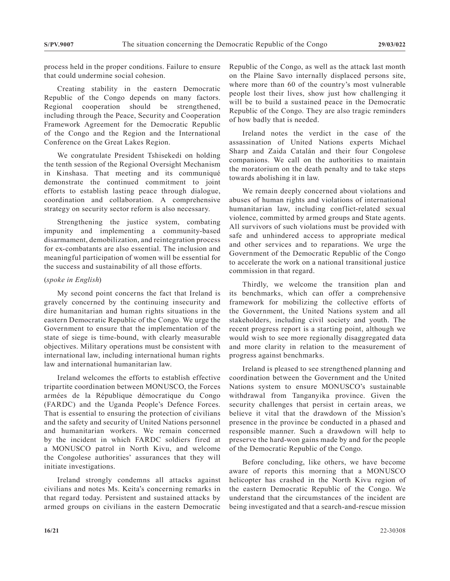process held in the proper conditions. Failure to ensure that could undermine social cohesion.

Creating stability in the eastern Democratic Republic of the Congo depends on many factors. Regional cooperation should be strengthened, including through the Peace, Security and Cooperation Framework Agreement for the Democratic Republic of the Congo and the Region and the International Conference on the Great Lakes Region.

We congratulate President Tshisekedi on holding the tenth session of the Regional Oversight Mechanism in Kinshasa. That meeting and its communiqué demonstrate the continued commitment to joint efforts to establish lasting peace through dialogue, coordination and collaboration. A comprehensive strategy on security sector reform is also necessary.

Strengthening the justice system, combating impunity and implementing a community-based disarmament, demobilization, and reintegration process for ex-combatants are also essential. The inclusion and meaningful participation of women will be essential for the success and sustainability of all those efforts.

#### (*spoke in English*)

My second point concerns the fact that Ireland is gravely concerned by the continuing insecurity and dire humanitarian and human rights situations in the eastern Democratic Republic of the Congo. We urge the Government to ensure that the implementation of the state of siege is time-bound, with clearly measurable objectives. Military operations must be consistent with international law, including international human rights law and international humanitarian law.

Ireland welcomes the efforts to establish effective tripartite coordination between MONUSCO, the Forces armées de la République démocratique du Congo (FARDC) and the Uganda People's Defence Forces. That is essential to ensuring the protection of civilians and the safety and security of United Nations personnel and humanitarian workers. We remain concerned by the incident in which FARDC soldiers fired at a MONUSCO patrol in North Kivu, and welcome the Congolese authorities' assurances that they will initiate investigations.

Ireland strongly condemns all attacks against civilians and notes Ms. Keita's concerning remarks in that regard today. Persistent and sustained attacks by armed groups on civilians in the eastern Democratic

Republic of the Congo, as well as the attack last month on the Plaine Savo internally displaced persons site, where more than 60 of the country's most vulnerable people lost their lives, show just how challenging it will be to build a sustained peace in the Democratic Republic of the Congo. They are also tragic reminders of how badly that is needed.

Ireland notes the verdict in the case of the assassination of United Nations experts Michael Sharp and Zaida Catalán and their four Congolese companions. We call on the authorities to maintain the moratorium on the death penalty and to take steps towards abolishing it in law.

We remain deeply concerned about violations and abuses of human rights and violations of international humanitarian law, including conflict-related sexual violence, committed by armed groups and State agents. All survivors of such violations must be provided with safe and unhindered access to appropriate medical and other services and to reparations. We urge the Government of the Democratic Republic of the Congo to accelerate the work on a national transitional justice commission in that regard.

Thirdly, we welcome the transition plan and its benchmarks, which can offer a comprehensive framework for mobilizing the collective efforts of the Government, the United Nations system and all stakeholders, including civil society and youth. The recent progress report is a starting point, although we would wish to see more regionally disaggregated data and more clarity in relation to the measurement of progress against benchmarks.

Ireland is pleased to see strengthened planning and coordination between the Government and the United Nations system to ensure MONUSCO's sustainable withdrawal from Tanganyika province. Given the security challenges that persist in certain areas, we believe it vital that the drawdown of the Mission's presence in the province be conducted in a phased and responsible manner. Such a drawdown will help to preserve the hard-won gains made by and for the people of the Democratic Republic of the Congo.

Before concluding, like others, we have become aware of reports this morning that a MONUSCO helicopter has crashed in the North Kivu region of the eastern Democratic Republic of the Congo. We understand that the circumstances of the incident are being investigated and that a search-and-rescue mission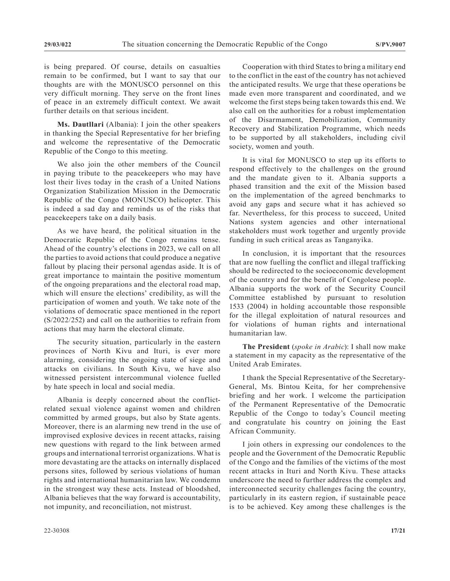is being prepared. Of course, details on casualties remain to be confirmed, but I want to say that our thoughts are with the MONUSCO personnel on this very difficult morning. They serve on the front lines of peace in an extremely difficult context. We await further details on that serious incident.

**Ms. Dautllari** (Albania): I join the other speakers in thanking the Special Representative for her briefing and welcome the representative of the Democratic Republic of the Congo to this meeting.

We also join the other members of the Council in paying tribute to the peacekeepers who may have lost their lives today in the crash of a United Nations Organization Stabilization Mission in the Democratic Republic of the Congo (MONUSCO) helicopter. This is indeed a sad day and reminds us of the risks that peacekeepers take on a daily basis.

As we have heard, the political situation in the Democratic Republic of the Congo remains tense. Ahead of the country's elections in 2023, we call on all the parties to avoid actions that could produce a negative fallout by placing their personal agendas aside. It is of great importance to maintain the positive momentum of the ongoing preparations and the electoral road map, which will ensure the elections' credibility, as will the participation of women and youth. We take note of the violations of democratic space mentioned in the report (S/2022/252) and call on the authorities to refrain from actions that may harm the electoral climate.

The security situation, particularly in the eastern provinces of North Kivu and Ituri, is ever more alarming, considering the ongoing state of siege and attacks on civilians. In South Kivu, we have also witnessed persistent intercommunal violence fuelled by hate speech in local and social media.

Albania is deeply concerned about the conflictrelated sexual violence against women and children committed by armed groups, but also by State agents. Moreover, there is an alarming new trend in the use of improvised explosive devices in recent attacks, raising new questions with regard to the link between armed groups and international terrorist organizations. What is more devastating are the attacks on internally displaced persons sites, followed by serious violations of human rights and international humanitarian law. We condemn in the strongest way these acts. Instead of bloodshed, Albania believes that the way forward is accountability, not impunity, and reconciliation, not mistrust.

Cooperation with third States to bring a military end to the conflict in the east of the country has not achieved the anticipated results. We urge that these operations be made even more transparent and coordinated, and we welcome the first steps being taken towards this end. We also call on the authorities for a robust implementation of the Disarmament, Demobilization, Community Recovery and Stabilization Programme, which needs to be supported by all stakeholders, including civil society, women and youth.

It is vital for MONUSCO to step up its efforts to respond effectively to the challenges on the ground and the mandate given to it. Albania supports a phased transition and the exit of the Mission based on the implementation of the agreed benchmarks to avoid any gaps and secure what it has achieved so far. Nevertheless, for this process to succeed, United Nations system agencies and other international stakeholders must work together and urgently provide funding in such critical areas as Tanganyika.

In conclusion, it is important that the resources that are now fuelling the conflict and illegal trafficking should be redirected to the socioeconomic development of the country and for the benefit of Congolese people. Albania supports the work of the Security Council Committee established by pursuant to resolution 1533 (2004) in holding accountable those responsible for the illegal exploitation of natural resources and for violations of human rights and international humanitarian law.

**The President** (*spoke in Arabic*): I shall now make a statement in my capacity as the representative of the United Arab Emirates.

I thank the Special Representative of the Secretary-General, Ms. Bintou Keita, for her comprehensive briefing and her work. I welcome the participation of the Permanent Representative of the Democratic Republic of the Congo to today's Council meeting and congratulate his country on joining the East African Community.

I join others in expressing our condolences to the people and the Government of the Democratic Republic of the Congo and the families of the victims of the most recent attacks in Ituri and North Kivu. These attacks underscore the need to further address the complex and interconnected security challenges facing the country, particularly in its eastern region, if sustainable peace is to be achieved. Key among these challenges is the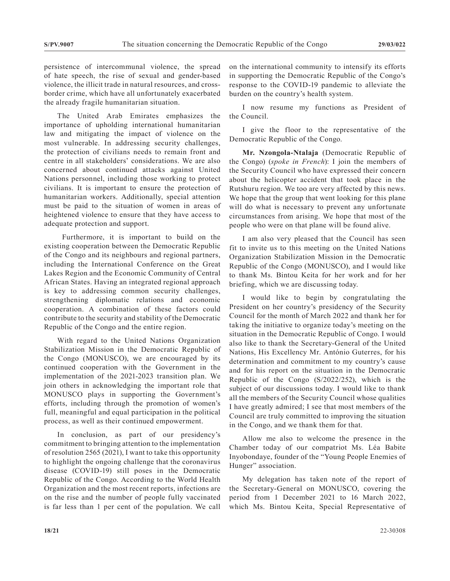persistence of intercommunal violence, the spread of hate speech, the rise of sexual and gender-based violence, the illicit trade in natural resources, and crossborder crime, which have all unfortunately exacerbated the already fragile humanitarian situation.

The United Arab Emirates emphasizes the importance of upholding international humanitarian law and mitigating the impact of violence on the most vulnerable. In addressing security challenges, the protection of civilians needs to remain front and centre in all stakeholders' considerations. We are also concerned about continued attacks against United Nations personnel, including those working to protect civilians. It is important to ensure the protection of humanitarian workers. Additionally, special attention must be paid to the situation of women in areas of heightened violence to ensure that they have access to adequate protection and support.

 Furthermore, it is important to build on the existing cooperation between the Democratic Republic of the Congo and its neighbours and regional partners, including the International Conference on the Great Lakes Region and the Economic Community of Central African States. Having an integrated regional approach is key to addressing common security challenges, strengthening diplomatic relations and economic cooperation. A combination of these factors could contribute to the security and stability of the Democratic Republic of the Congo and the entire region.

With regard to the United Nations Organization Stabilization Mission in the Democratic Republic of the Congo (MONUSCO), we are encouraged by its continued cooperation with the Government in the implementation of the 2021-2023 transition plan. We join others in acknowledging the important role that MONUSCO plays in supporting the Government's efforts, including through the promotion of women's full, meaningful and equal participation in the political process, as well as their continued empowerment.

In conclusion, as part of our presidency's commitment to bringing attention to the implementation of resolution 2565 (2021), I want to take this opportunity to highlight the ongoing challenge that the coronavirus disease (COVID-19) still poses in the Democratic Republic of the Congo. According to the World Health Organization and the most recent reports, infections are on the rise and the number of people fully vaccinated is far less than 1 per cent of the population. We call on the international community to intensify its efforts in supporting the Democratic Republic of the Congo's response to the COVID-19 pandemic to alleviate the burden on the country's health system.

I now resume my functions as President of the Council.

I give the floor to the representative of the Democratic Republic of the Congo.

**Mr. Nzongola-Ntalaja** (Democratic Republic of the Congo) (*spoke in French*): I join the members of the Security Council who have expressed their concern about the helicopter accident that took place in the Rutshuru region. We too are very affected by this news. We hope that the group that went looking for this plane will do what is necessary to prevent any unfortunate circumstances from arising. We hope that most of the people who were on that plane will be found alive.

I am also very pleased that the Council has seen fit to invite us to this meeting on the United Nations Organization Stabilization Mission in the Democratic Republic of the Congo (MONUSCO), and I would like to thank Ms. Bintou Keita for her work and for her briefing, which we are discussing today.

I would like to begin by congratulating the President on her country's presidency of the Security Council for the month of March 2022 and thank her for taking the initiative to organize today's meeting on the situation in the Democratic Republic of Congo. I would also like to thank the Secretary-General of the United Nations, His Excellency Mr. António Guterres, for his determination and commitment to my country's cause and for his report on the situation in the Democratic Republic of the Congo (S/2022/252), which is the subject of our discussions today. I would like to thank all the members of the Security Council whose qualities I have greatly admired; I see that most members of the Council are truly committed to improving the situation in the Congo, and we thank them for that.

Allow me also to welcome the presence in the Chamber today of our compatriot Ms. Léa Babite Inyobondaye, founder of the "Young People Enemies of Hunger" association.

My delegation has taken note of the report of the Secretary-General on MONUSCO, covering the period from 1 December 2021 to 16 March 2022, which Ms. Bintou Keita, Special Representative of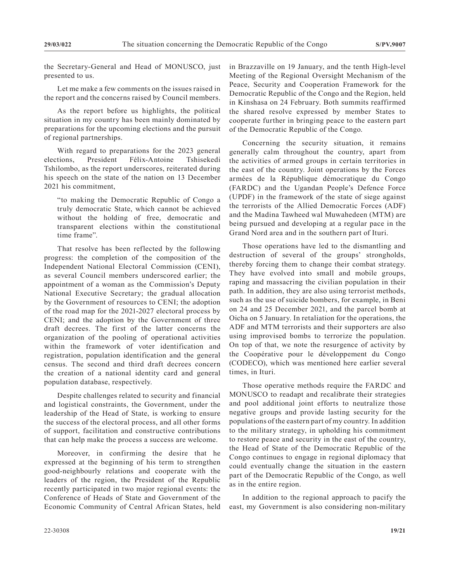the Secretary-General and Head of MONUSCO, just presented to us.

Let me make a few comments on the issues raised in the report and the concerns raised by Council members.

As the report before us highlights, the political situation in my country has been mainly dominated by preparations for the upcoming elections and the pursuit of regional partnerships.

With regard to preparations for the 2023 general elections, President Félix-Antoine Tshisekedi Tshilombo, as the report underscores, reiterated during his speech on the state of the nation on 13 December 2021 his commitment,

"to making the Democratic Republic of Congo a truly democratic State, which cannot be achieved without the holding of free, democratic and transparent elections within the constitutional time frame".

That resolve has been reflected by the following progress: the completion of the composition of the Independent National Electoral Commission (CENI), as several Council members underscored earlier; the appointment of a woman as the Commission's Deputy National Executive Secretary; the gradual allocation by the Government of resources to CENI; the adoption of the road map for the 2021-2027 electoral process by CENI; and the adoption by the Government of three draft decrees. The first of the latter concerns the organization of the pooling of operational activities within the framework of voter identification and registration, population identification and the general census. The second and third draft decrees concern the creation of a national identity card and general population database, respectively.

Despite challenges related to security and financial and logistical constraints, the Government, under the leadership of the Head of State, is working to ensure the success of the electoral process, and all other forms of support, facilitation and constructive contributions that can help make the process a success are welcome.

Moreover, in confirming the desire that he expressed at the beginning of his term to strengthen good-neighbourly relations and cooperate with the leaders of the region, the President of the Republic recently participated in two major regional events: the Conference of Heads of State and Government of the Economic Community of Central African States, held

in Brazzaville on 19 January, and the tenth High-level Meeting of the Regional Oversight Mechanism of the Peace, Security and Cooperation Framework for the Democratic Republic of the Congo and the Region, held in Kinshasa on 24 February. Both summits reaffirmed the shared resolve expressed by member States to cooperate further in bringing peace to the eastern part of the Democratic Republic of the Congo.

Concerning the security situation, it remains generally calm throughout the country, apart from the activities of armed groups in certain territories in the east of the country. Joint operations by the Forces armées de la République démocratique du Congo (FARDC) and the Ugandan People's Defence Force (UPDF) in the framework of the state of siege against the terrorists of the Allied Democratic Forces (ADF) and the Madina Tawheed wal Muwahedeen (MTM) are being pursued and developing at a regular pace in the Grand Nord area and in the southern part of Ituri.

Those operations have led to the dismantling and destruction of several of the groups' strongholds, thereby forcing them to change their combat strategy. They have evolved into small and mobile groups, raping and massacring the civilian population in their path. In addition, they are also using terrorist methods, such as the use of suicide bombers, for example, in Beni on 24 and 25 December 2021, and the parcel bomb at Oicha on 5 January. In retaliation for the operations, the ADF and MTM terrorists and their supporters are also using improvised bombs to terrorize the population. On top of that, we note the resurgence of activity by the Coopérative pour le développement du Congo (CODECO), which was mentioned here earlier several times, in Ituri.

Those operative methods require the FARDC and MONUSCO to readapt and recalibrate their strategies and pool additional joint efforts to neutralize those negative groups and provide lasting security for the populations of the eastern part of my country. In addition to the military strategy, in upholding his commitment to restore peace and security in the east of the country, the Head of State of the Democratic Republic of the Congo continues to engage in regional diplomacy that could eventually change the situation in the eastern part of the Democratic Republic of the Congo, as well as in the entire region.

In addition to the regional approach to pacify the east, my Government is also considering non-military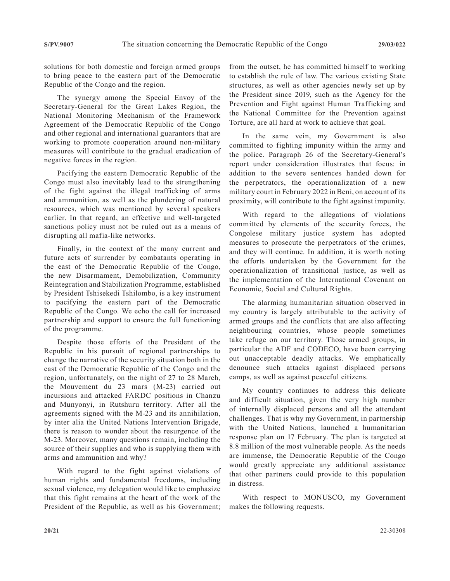solutions for both domestic and foreign armed groups to bring peace to the eastern part of the Democratic Republic of the Congo and the region.

The synergy among the Special Envoy of the Secretary-General for the Great Lakes Region, the National Monitoring Mechanism of the Framework Agreement of the Democratic Republic of the Congo and other regional and international guarantors that are working to promote cooperation around non-military measures will contribute to the gradual eradication of negative forces in the region.

Pacifying the eastern Democratic Republic of the Congo must also inevitably lead to the strengthening of the fight against the illegal trafficking of arms and ammunition, as well as the plundering of natural resources, which was mentioned by several speakers earlier. In that regard, an effective and well-targeted sanctions policy must not be ruled out as a means of disrupting all mafia-like networks.

Finally, in the context of the many current and future acts of surrender by combatants operating in the east of the Democratic Republic of the Congo, the new Disarmament, Demobilization, Community Reintegration and Stabilization Programme, established by President Tshisekedi Tshilombo, is a key instrument to pacifying the eastern part of the Democratic Republic of the Congo. We echo the call for increased partnership and support to ensure the full functioning of the programme.

Despite those efforts of the President of the Republic in his pursuit of regional partnerships to change the narrative of the security situation both in the east of the Democratic Republic of the Congo and the region, unfortunately, on the night of 27 to 28 March, the Mouvement du 23 mars (M-23) carried out incursions and attacked FARDC positions in Chanzu and Munyonyi, in Rutshuru territory. After all the agreements signed with the M-23 and its annihilation, by inter alia the United Nations Intervention Brigade, there is reason to wonder about the resurgence of the M-23. Moreover, many questions remain, including the source of their supplies and who is supplying them with arms and ammunition and why?

With regard to the fight against violations of human rights and fundamental freedoms, including sexual violence, my delegation would like to emphasize that this fight remains at the heart of the work of the President of the Republic, as well as his Government;

from the outset, he has committed himself to working to establish the rule of law. The various existing State structures, as well as other agencies newly set up by the President since 2019, such as the Agency for the Prevention and Fight against Human Trafficking and the National Committee for the Prevention against Torture, are all hard at work to achieve that goal.

In the same vein, my Government is also committed to fighting impunity within the army and the police. Paragraph 26 of the Secretary-General's report under consideration illustrates that focus: in addition to the severe sentences handed down for the perpetrators, the operationalization of a new military court in February 2022 in Beni, on account of its proximity, will contribute to the fight against impunity.

With regard to the allegations of violations committed by elements of the security forces, the Congolese military justice system has adopted measures to prosecute the perpetrators of the crimes, and they will continue. In addition, it is worth noting the efforts undertaken by the Government for the operationalization of transitional justice, as well as the implementation of the International Covenant on Economic, Social and Cultural Rights.

The alarming humanitarian situation observed in my country is largely attributable to the activity of armed groups and the conflicts that are also affecting neighbouring countries, whose people sometimes take refuge on our territory. Those armed groups, in particular the ADF and CODECO, have been carrying out unacceptable deadly attacks. We emphatically denounce such attacks against displaced persons camps, as well as against peaceful citizens.

My country continues to address this delicate and difficult situation, given the very high number of internally displaced persons and all the attendant challenges. That is why my Government, in partnership with the United Nations, launched a humanitarian response plan on 17 February. The plan is targeted at 8.8 million of the most vulnerable people. As the needs are immense, the Democratic Republic of the Congo would greatly appreciate any additional assistance that other partners could provide to this population in distress.

With respect to MONUSCO, my Government makes the following requests.